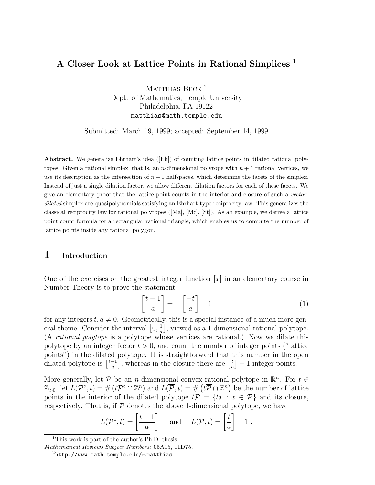## **A Closer Look at Lattice Points in Rational Simplices** <sup>1</sup>

MATTHIAS BECK<sup>2</sup> Dept. of Mathematics, Temple University Philadelphia, PA 19122 matthias@math.temple.edu

Submitted: March 19, 1999; accepted: September 14, 1999

**Abstract.** We generalize Ehrhart's idea ([Eh]) of counting lattice points in dilated rational polytopes: Given a rational simplex, that is, an *n*-dimensional polytope with  $n + 1$  rational vertices, we use its description as the intersection of  $n+1$  halfspaces, which determine the facets of the simplex. Instead of just a single dilation factor, we allow different dilation factors for each of these facets. We give an elementary proof that the lattice point counts in the interior and closure of such a vectordilated simplex are quasipolynomials satisfying an Ehrhart-type reciprocity law. This generalizes the classical reciprocity law for rational polytopes ([Ma], [Mc], [St]). As an example, we derive a lattice point count formula for a rectangular rational triangle, which enables us to compute the number of lattice points inside any rational polygon.

## **1 Introduction**

One of the exercises on the greatest integer function  $[x]$  in an elementary course in Number Theory is to prove the statement

$$
\left[\frac{t-1}{a}\right] = -\left[\frac{-t}{a}\right] - 1\tag{1}
$$

for any integers  $t, a \neq 0$ . Geometrically, this is a special instance of a much more general theme. Consider the interval  $\left[0, \frac{1}{a}\right]$ , viewed as a 1-dimensional rational polytope. (A rational polytope is a polytope whose vertices are rational.) Now we dilate this polytope by an integer factor  $t > 0$ , and count the number of integer points ("lattice points") in the dilated polytope. It is straightforward that this number in the open dilated polytope is  $\left[\frac{t-1}{a}\right]$ , whereas in the closure there are  $\left[\frac{t}{a}\right]$  $\left[\frac{t}{a}\right] + 1$  integer points.

More generally, let P be an n-dimensional convex rational polytope in  $\mathbb{R}^n$ . For  $t \in$  $\mathbb{Z}_{>0}$ , let  $L(\mathcal{P}^{\circ}, t) = \#(t\mathcal{P}^{\circ} \cap \mathbb{Z}^{n})$  and  $L(\overline{\mathcal{P}}, t) = \#(t\overline{\mathcal{P}} \cap \mathbb{Z}^{n})$  be the number of lattice points in the interior of the dilated polytope  $t\mathcal{P} = \{tx : x \in \mathcal{P}\}\$ and its closure, respectively. That is, if  $P$  denotes the above 1-dimensional polytope, we have

$$
L(\mathcal{P}^{\circ},t) = \left[\frac{t-1}{a}\right]
$$
 and  $L(\overline{\mathcal{P}},t) = \left[\frac{t}{a}\right] + 1$ .

<sup>&</sup>lt;sup>1</sup>This work is part of the author's Ph.D. thesis.

Mathematical Reviews Subject Numbers: 05A15, 11D75.

<sup>2</sup>http://www.math.temple.edu/∼matthias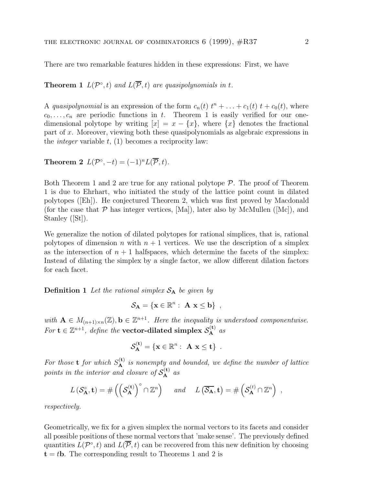There are two remarkable features hidden in these expressions: First, we have

**Theorem 1**  $L(P^{\circ}, t)$  and  $L(\overline{P}, t)$  are quasipolynomials in t.

A quasipolynomial is an expression of the form  $c_n(t)$   $t^n + \ldots + c_1(t)$   $t + c_0(t)$ , where  $c_0,\ldots,c_n$  are periodic functions in t. Theorem 1 is easily verified for our onedimensional polytope by writing  $[x] = x - \{x\}$ , where  $\{x\}$  denotes the fractional part of x. Moreover, viewing both these quasipolynomials as algebraic expressions in the *integer* variable  $t$ , (1) becomes a reciprocity law:

**Theorem 2**  $L(\mathcal{P}^{\circ}, -t) = (-1)^n L(\overline{\mathcal{P}}, t).$ 

Both Theorem 1 and 2 are true for any rational polytope  $P$ . The proof of Theorem 1 is due to Ehrhart, who initiated the study of the lattice point count in dilated polytopes ([Eh]). He conjectured Theorem 2, which was first proved by Macdonald (for the case that  $P$  has integer vertices, [Ma]), later also by McMullen ([Mc]), and Stanley ([St]).

We generalize the notion of dilated polytopes for rational simplices, that is, rational polytopes of dimension n with  $n + 1$  vertices. We use the description of a simplex as the intersection of  $n + 1$  halfspaces, which determine the facets of the simplex: Instead of dilating the simplex by a single factor, we allow different dilation factors for each facet.

**Definition 1** Let the rational simplex  $S_A$  be given by

$$
\mathcal{S}_{\mathbf{A}} = \{ \mathbf{x} \in \mathbb{R}^n : \ \mathbf{A} \mathbf{x} \leq \mathbf{b} \} ,
$$

with  $\mathbf{A} \in M_{(n+1)\times n}(\mathbb{Z})$ ,  $\mathbf{b} \in \mathbb{Z}^{n+1}$ . Here the inequality is understood componentwise. For  $\mathbf{t} \in \mathbb{Z}^{n+1}$ , define the **vector-dilated simplex**  $\mathcal{S}_{\mathbf{A}}^{(\mathbf{t})}$  as

$$
\mathcal{S}_{\mathbf{A}}^{(\mathbf{t})} = \{ \mathbf{x} \in \mathbb{R}^n : \ \mathbf{A} \mathbf{x} \leq \mathbf{t} \} \ \ .
$$

For those **t** for which  $S_A^{(t)}$  is nonempty and bounded, we define the number of lattice points in the interior and closure of  $S_A^{(t)}$  as

$$
L(S_{\mathbf{A}}^{\circ}, \mathbf{t}) = \# \left( \left( \mathcal{S}_{\mathbf{A}}^{(\mathbf{t})} \right)^{\circ} \cap \mathbb{Z}^{n} \right) \quad \text{and} \quad L(\overline{\mathcal{S}_{\mathbf{A}}}, \mathbf{t}) = \# \left( \mathcal{S}_{\mathbf{A}}^{(t)} \cap \mathbb{Z}^{n} \right) ,
$$

respectively.

Geometrically, we fix for a given simplex the normal vectors to its facets and consider all possible positions of these normal vectors that 'make sense'. The previously defined quantities  $L(\mathcal{P}^{\circ}, t)$  and  $L(\overline{\mathcal{P}}, t)$  can be recovered from this new definition by choosing  $t = t$ **b**. The corresponding result to Theorems 1 and 2 is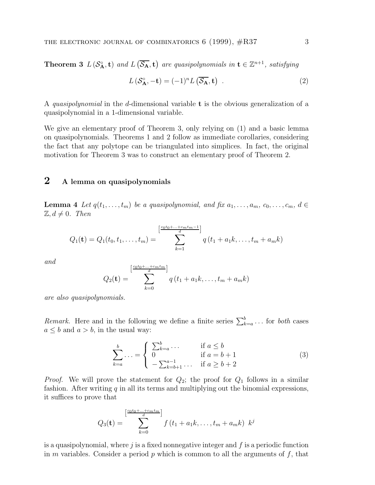**Theorem 3**  $L(S_A^{\circ}, \mathbf{t})$  and  $L(\overline{S_A}, \mathbf{t})$  are quasipolynomials in  $\mathbf{t} \in \mathbb{Z}^{n+1}$ , satisfying

$$
L\left(\mathcal{S}_{\mathbf{A}}^{\circ}, -\mathbf{t}\right) = (-1)^{n} L\left(\overline{\mathcal{S}_{\mathbf{A}}}, \mathbf{t}\right) . \tag{2}
$$

A quasipolynomial in the d-dimensional variable **t** is the obvious generalization of a quasipolynomial in a 1-dimensional variable.

We give an elementary proof of Theorem 3, only relying on (1) and a basic lemma on quasipolynomials. Theorems 1 and 2 follow as immediate corollaries, considering the fact that any polytope can be triangulated into simplices. In fact, the original motivation for Theorem 3 was to construct an elementary proof of Theorem 2.

## **2 A lemma on quasipolynomials**

**Lemma 4** Let  $q(t_1,...,t_m)$  be a quasipolynomial, and fix  $a_1,...,a_m$ ,  $c_0,...,c_m$ ,  $d \in$  $\mathbb{Z}, d \neq 0$ . Then

$$
Q_1(\mathbf{t}) = Q_1(t_0, t_1, \dots, t_m) = \sum_{k=1}^{\left[\frac{c_0t_0 + \dots + c_mt_m - 1}{d}\right]} q(t_1 + a_1k, \dots, t_m + a_mk)
$$

and

$$
Q_2(\mathbf{t}) = \sum_{k=0}^{\left[\frac{c_0t_0 + \ldots + c_mt_m}{d}\right]} q\left(t_1 + a_1k, \ldots, t_m + a_mk\right)
$$

are also quasipolynomials.

Remark. Here and in the following we define a finite series  $\sum_{k=a}^{b}$ ... for both cases  $a \leq b$  and  $a > b$ , in the usual way:

$$
\sum_{k=a}^{b} \dots = \begin{cases}\n\sum_{k=a}^{b} \dots & \text{if } a \le b \\
0 & \text{if } a = b+1 \\
-\sum_{k=b+1}^{a-1} \dots & \text{if } a \ge b+2\n\end{cases}
$$
\n(3)

*Proof.* We will prove the statement for  $Q_2$ ; the proof for  $Q_1$  follows in a similar fashion. After writing  $q$  in all its terms and multiplying out the binomial expressions, it suffices to prove that

$$
Q_3(\mathbf{t}) = \sum_{k=0}^{\left[\frac{c_0t_0 + \ldots + c_mt_m}{d}\right]} f(t_1 + a_1k, \ldots, t_m + a_mk) \ \ k^j
$$

is a quasipolynomial, where  $j$  is a fixed nonnegative integer and  $f$  is a periodic function in m variables. Consider a period  $p$  which is common to all the arguments of  $f$ , that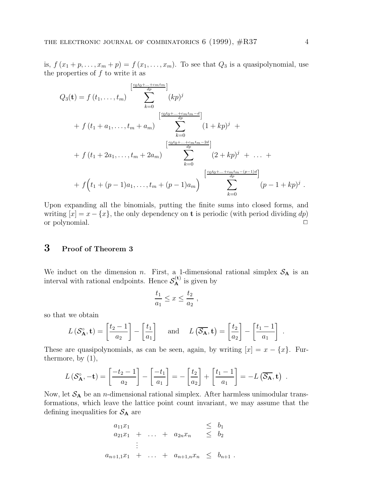is,  $f(x_1 + p, \ldots, x_m + p) = f(x_1, \ldots, x_m)$ . To see that  $Q_3$  is a quasipolynomial, use the properties of  $f$  to write it as

$$
Q_3(\mathbf{t}) = f(t_1, ..., t_m) \sum_{k=0}^{\left[\frac{c_0t_0 + ... + c_mt_m}{dp}\right]} (kp)^j
$$
  
+  $f(t_1 + a_1, ..., t_m + a_m) \sum_{k=0}^{\left[\frac{c_0t_0 + ... + c_mt_m - d}{dp}\right]} (1 + kp)^j +$   
+  $f(t_1 + 2a_1, ..., t_m + 2a_m) \sum_{k=0}^{\left[\frac{c_0t_0 + ... + c_mt_m - 2d}{dp}\right]} (2 + kp)^j + ... +$   
+  $f(t_1 + (p - 1)a_1, ..., t_m + (p - 1)a_m) \sum_{k=0}^{\left[\frac{c_0t_0 + ... + c_mt_m - (p-1)d}{dp}\right]} (p - 1 + kp)^j.$ 

Upon expanding all the binomials, putting the finite sums into closed forms, and writing  $[x] = x - \{x\}$ , the only dependency on **t** is periodic (with period dividing dp) or polynomial. <sup>2</sup>

## **3 Proof of Theorem 3**

We induct on the dimension n. First, a 1-dimensional rational simplex  $S_A$  is an interval with rational endpoints. Hence  $S_A^{(t)}$  is given by

$$
\frac{t_1}{a_1} \le x \le \frac{t_2}{a_2} ,
$$

so that we obtain

$$
L(\mathcal{S}_{\mathbf{A}}^{\circ}, \mathbf{t}) = \left[\frac{t_2 - 1}{a_2}\right] - \left[\frac{t_1}{a_1}\right] \quad \text{and} \quad L(\overline{\mathcal{S}_{\mathbf{A}}}, \mathbf{t}) = \left[\frac{t_2}{a_2}\right] - \left[\frac{t_1 - 1}{a_1}\right].
$$

These are quasipolynomials, as can be seen, again, by writing  $[x] = x - \{x\}$ . Furthermore, by (1),

$$
L\left(S_{\mathbf{A}}^{\circ},-\mathbf{t}\right)=\left[\frac{-t_2-1}{a_2}\right]-\left[\frac{-t_1}{a_1}\right]=-\left[\frac{t_2}{a_2}\right]+\left[\frac{t_1-1}{a_1}\right]=-L\left(\overline{S_{\mathbf{A}}},\mathbf{t}\right).
$$

Now, let  $S_A$  be an *n*-dimensional rational simplex. After harmless unimodular transformations, which leave the lattice point count invariant, we may assume that the defining inequalities for  $S_A$  are

> $a_{11}x_1$   $\leq b_1$  $a_{21}x_1 + \ldots + a_{2n}x_n \leq b_2$ . . .  $a_{n+1,1}x_1 + \ldots + a_{n+1,n}x_n \leq b_{n+1}$ .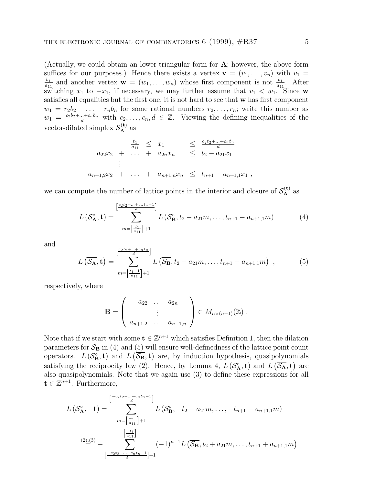(Actually, we could obtain an lower triangular form for **A**; however, the above form suffices for our purposes.) Hence there exists a vertex  $\mathbf{v} = (v_1, \ldots, v_n)$  with  $v_1 =$  $\frac{b_1}{a_{11}}$  and another vertex  $\mathbf{w} = (w_1, \ldots, w_n)$  whose first component is not  $\frac{b_1}{a_{11}}$ . After switching  $x_1$  to  $-x_1$ , if necessary, we may further assume that  $v_1 < w_1$ . Since **w** satisfies all equalities but the first one, it is not hard to see that **w** has first component  $w_1 = r_2b_2 + \ldots + r_nb_n$  for some rational numbers  $r_2, \ldots, r_n$ ; write this number as  $w_1 = \frac{c_2b_2 + ... + c_nb_n}{d}$  with  $c_2,...,c_n, d \in \mathbb{Z}$ . Viewing the defining inequalities of the vector-dilated simplex  $S_A^{(t)}$  as

$$
a_{22}x_2 + \dots + a_{2n}x_n \leq \frac{c_2t_2 + \dots + c_nt_n}{d}
$$
  
\n
$$
a_{n+1,2}x_2 + \dots + a_{n+1,n}x_n \leq t_{n+1} - a_{n+1,1}x_1,
$$

we can compute the number of lattice points in the interior and closure of  $S_A^{(t)}$  as

$$
L\left(S_{\mathbf{A}}^{\circ}, \mathbf{t}\right) = \sum_{m = \left[\frac{t_1}{a_{11}}\right] + 1}^{\left[\frac{c_2 t_2 + \dots + c_n t_n - 1}{d}\right]} L\left(S_{\mathbf{B}}^{\circ}, t_2 - a_{21} m, \dots, t_{n+1} - a_{n+1, 1} m\right)
$$
(4)

and

$$
L\left(\overline{\mathcal{S}_{\mathbf{A}}},\mathbf{t}\right) = \sum_{m=\left[\frac{t_1-1}{a_{11}}\right]+1}^{\left[\frac{c_2t_2+\ldots+c_nt_n}{d}\right]} L\left(\overline{\mathcal{S}_{\mathbf{B}}}, t_2-a_{21}m,\ldots,t_{n+1}-a_{n+1,1}m\right) ,\qquad(5)
$$

respectively, where

$$
\mathbf{B} = \left( \begin{array}{ccc} a_{22} & \dots & a_{2n} \\ \vdots & & \\ a_{n+1,2} & \dots & a_{n+1,n} \end{array} \right) \in M_{n \times (n-1)}(\mathbb{Z}).
$$

Note that if we start with some  $\mathbf{t} \in \mathbb{Z}^{n+1}$  which satisfies Definition 1, then the dilation parameters for  $S_B$  in (4) and (5) will ensure well-definedness of the lattice point count operators.  $L(S^{\circ}_{B}, t)$  and  $L(\overline{S_{B}}, t)$  are, by induction hypothesis, quasipolynomials satisfying the reciprocity law (2). Hence, by Lemma 4,  $L(S_A^{\circ}, \mathbf{t})$  and  $L(\overline{S_A}, \mathbf{t})$  are also quasipolynomials. Note that we again use (3) to define these expressions for all  $\mathbf{t} \in \mathbb{Z}^{n+1}$ . Furthermore,

$$
L\left(S_A^{\circ}, -\mathbf{t}\right) = \sum_{m = \left[\frac{-t_1}{a_{11}}\right] + 1}^{\left[\frac{-c_2t_2 - \dots - c_nt_n - 1}{d}\right]} L\left(S_B^{\circ}, -t_2 - a_{21}m, \dots, -t_{n+1} - a_{n+1,1}m\right)
$$

$$
= \sum_{\frac{t_1}{a_{11}}}^{\left[\frac{-t_1}{a_{11}}\right]} - \sum_{\frac{t_2}{a_{12}} + \dots + t_{n+1} = t_{n+1,1}m}^{\left[\frac{-t_1}{a_{11}}\right]} (-1)^{n-1} L\left(\overline{S_B}, t_2 + a_{21}m, \dots, t_{n+1} + a_{n+1,1}m\right)
$$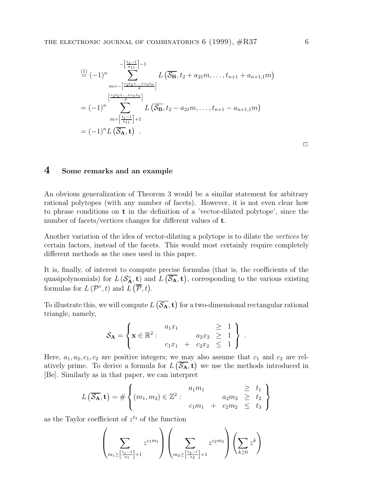$$
\stackrel{(\mathbf{1})}{=} (-1)^n \sum_{m=-\left[\frac{c_2t_2+\dots+c_nt_n}{d}\right]}^{-\left[\frac{t_1-1}{a_{11}}\right]-1} L\left(\overline{\mathcal{S}_{\mathbf{B}}}, t_2 + a_{21}m, \dots, t_{n+1} + a_{n+1,1}m\right)
$$
\n
$$
= (-1)^n \sum_{m=\left[\frac{t_1-1}{a_{11}}\right]+1}^{\left[\frac{c_2t_2+\dots+c_nt_n}{d}\right]} L\left(\overline{\mathcal{S}_{\mathbf{B}}}, t_2 - a_{21}m, \dots, t_{n+1} - a_{n+1,1}m\right)
$$
\n
$$
= (-1)^n L\left(\overline{\mathcal{S}_{\mathbf{A}}}, \mathbf{t}\right) .
$$

 $\Box$ 

#### **4 Some remarks and an example**

An obvious generalization of Theorem 3 would be a similar statement for arbitrary rational polytopes (with any number of facets). However, it is not even clear how to phrase conditions on **t** in the definition of a 'vector-dilated polytope', since the number of facets/vertices changes for different values of **t**.

Another variation of the idea of vector-dilating a polytope is to dilate the vertices by certain factors, instead of the facets. This would most certainly require completely different methods as the ones used in this paper.

It is, finally, of interest to compute precise formulas (that is, the coefficients of the quasipolynomials) for  $L(S_A^{\circ}, \mathbf{t})$  and  $L(\overline{S_A}, \mathbf{t})$ , corresponding to the various existing formulas for  $L(\mathcal{P}^{\circ}, t)$  and  $L(\overline{\mathcal{P}}, t)$ .

To illustrate this, we will compute  $L(\overline{S_A}, \mathbf{t})$  for a two-dimensional rectangular rational triangle, namely,

$$
\mathcal{S}_{\mathbf{A}} = \left\{ \mathbf{x} \in \mathbb{R}^2 : \begin{array}{c} a_1 x_1 \\ a_2 x_2 \geq 1 \\ c_1 x_1 + c_2 x_2 \leq 1 \end{array} \right\} .
$$

Here,  $a_1, a_2, c_1, c_2$  are positive integers; we may also assume that  $c_1$  and  $c_2$  are relatively prime. To derive a formula for  $L(\overline{S_A}, \mathbf{t})$  we use the methods introduced in [Be]. Similarly as in that paper, we can interpret

$$
L\left(\overline{\mathcal{S}_{\mathbf{A}}}, \mathbf{t}\right) = \#\left\{ (m_1, m_2) \in \mathbb{Z}^2 : \begin{array}{c} a_1 m_1 \\ \vdots \\ a_2 m_2 \geq t_2 \\ \vdots \\ a_1 m_1 + c_2 m_2 \leq t_3 \end{array} \right\}
$$

as the Taylor coefficient of  $z^{t_3}$  of the function

$$
\left(\sum_{m_1 \geq \left[\frac{t_1 - 1}{a_1}\right] + 1} z^{c_1 m_1} \right) \left(\sum_{m_2 \geq \left[\frac{t_2 - 1}{a_2}\right] + 1} z^{c_2 m_2} \right) \left(\sum_{k \geq 0} z^k\right)
$$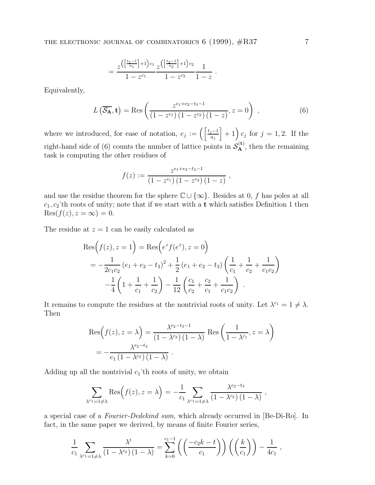$$
= \frac{z^{\left(\left[\frac{t_1-1}{a_1}\right]+1\right)c_1}z^{\left(\left[\frac{t_2-1}{a_2}\right]+1\right)c_2}}{1-z^{c_1}}\frac{1}{1-z^c}.
$$

Equivalently,

$$
L\left(\overline{\mathcal{S}_{\mathbf{A}}}, \mathbf{t}\right) = \text{Res}\left(\frac{z^{e_1 + e_2 - t_3 - 1}}{(1 - z^{c_1})(1 - z^{c_2})(1 - z)}, z = 0\right) ,\qquad (6)
$$

where we introduced, for ease of notation,  $e_j := \left( \frac{t_j-1}{a_j} \right)$  $\vert + 1 \vert c_j$  for  $j = 1, 2$ . If the right-hand side of (6) counts the number of lattice points in  $S_A^{(t)}$ , then the remaining task is computing the other residues of

$$
f(z) := \frac{z^{e_1+e_2-t_3-1}}{(1-z^{c_1})(1-z^{c_2})(1-z)},
$$

and use the residue theorem for the sphere  $\mathbb{C} \cup \{\infty\}$ . Besides at 0, f has poles at all  $c_1, c_2$ 'th roots of unity; note that if we start with a **t** which satisfies Definition 1 then  $Res(f(z), z = \infty) = 0.$ 

The residue at  $z = 1$  can be easily calculated as

$$
\operatorname{Res}\left(f(z), z = 1\right) = \operatorname{Res}\left(e^{z} f(e^{z}), z = 0\right)
$$
  
=  $-\frac{1}{2c_{1}c_{2}}\left(e_{1} + e_{2} - t_{3}\right)^{2} + \frac{1}{2}\left(e_{1} + e_{2} - t_{3}\right)\left(\frac{1}{c_{1}} + \frac{1}{c_{2}} + \frac{1}{c_{1}c_{2}}\right)$   
 $-\frac{1}{4}\left(1 + \frac{1}{c_{1}} + \frac{1}{c_{2}}\right) - \frac{1}{12}\left(\frac{c_{1}}{c_{2}} + \frac{c_{2}}{c_{1}} + \frac{1}{c_{1}c_{2}}\right).$ 

It remains to compute the residues at the nontrivial roots of unity. Let  $\lambda^{c_1} = 1 \neq \lambda$ . Then

$$
Res(f(z), z = \lambda) = \frac{\lambda^{e_2 - t_3 - 1}}{(1 - \lambda^{e_2})(1 - \lambda)} Res\left(\frac{1}{1 - \lambda^{e_1}}, z = \lambda\right)
$$

$$
= -\frac{\lambda^{e_2 - t_3}}{c_1(1 - \lambda^{e_2})(1 - \lambda)}.
$$

Adding up all the nontrivial  $c_1$ 'th roots of unity, we obtain

$$
\sum_{\lambda^{c_1}=\lambda} \text{Res}\Big(f(z), z=\lambda\Big) = -\frac{1}{c_1} \sum_{\lambda^{c_1}=\lambda} \frac{\lambda^{e_2-t_3}}{\left(1-\lambda^{c_2}\right)\left(1-\lambda\right)} ,
$$

a special case of a Fourier-Dedekind sum, which already occurred in [Be-Di-Ro]. In fact, in the same paper we derived, by means of finite Fourier series,

$$
\frac{1}{c_1} \sum_{\lambda^{c_1} = 1 \neq \lambda} \frac{\lambda^t}{(1 - \lambda^{c_2})(1 - \lambda)} = \sum_{k=0}^{c_1 - 1} \left( \left( \frac{-c_2 k - t}{c_1} \right) \right) \left( \left( \frac{k}{c_1} \right) \right) - \frac{1}{4c_1},
$$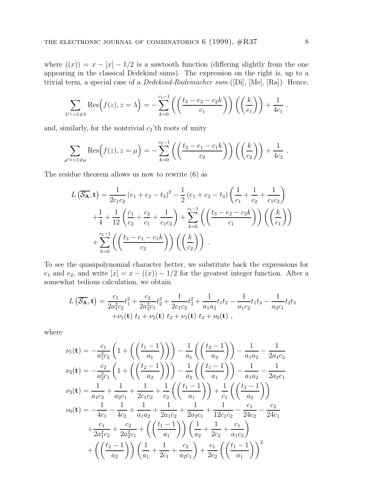where  $((x)) = x - [x] - 1/2$  is a sawtooth function (differing slightly from the one appearing in the classical Dedekind sums). The expression on the right is, up to a trivial term, a special case of a Dedekind-Rademacher sum ([Di], [Me], [Ra]). Hence,

$$
\sum_{\lambda^{c_1}=1\neq \lambda} \text{Res}\Big(f(z), z=\lambda\Big) = -\sum_{k=0}^{c_1-1} \left( \left(\frac{t_3-e_2-c_2k}{c_1}\right)\right) \left(\left(\frac{k}{c_1}\right)\right) + \frac{1}{4c_1},
$$

and, similarly, for the nontrivial  $c_2$ 'th roots of unity

$$
\sum_{\mu^{c_2}=1\neq \mu} \text{Res}\Big(f(z), z=\mu\Big) = -\sum_{k=0}^{c_2-1} \left( \left(\frac{t_3 - e_1 - c_1 k}{c_2}\right) \right) \left( \left(\frac{k}{c_2}\right) \right) + \frac{1}{4c_2}.
$$

The residue theorem allows us now to rewrite (6) as

$$
L\left(\overline{\mathcal{S}_{\mathbf{A}}}, \mathbf{t}\right) = \frac{1}{2c_1c_2} \left(e_1 + e_2 - t_3\right)^2 - \frac{1}{2} \left(e_1 + e_2 - t_3\right) \left(\frac{1}{c_1} + \frac{1}{c_2} + \frac{1}{c_1c_2}\right) + \frac{1}{4} + \frac{1}{12} \left(\frac{c_1}{c_2} + \frac{c_2}{c_1} + \frac{1}{c_1c_2}\right) + \sum_{k=0}^{c_1-1} \left(\left(\frac{t_3 - e_2 - c_2k}{c_1}\right)\right) \left(\left(\frac{k}{c_1}\right)\right) + \sum_{k=0}^{c_2-1} \left(\left(\frac{t_3 - e_1 - c_1k}{c_2}\right)\right) \left(\left(\frac{k}{c_2}\right)\right).
$$

To see the quasipolynomial character better, we substitute back the expressions for  $e_1$  and  $e_2$ , and write  $[x] = x - ((x)) - 1/2$  for the greatest integer function. After a somewhat tedious calculation, we obtain

$$
L\left(\overline{\mathcal{S}_{\mathbf{A}}},\mathbf{t}\right) = \frac{c_1}{2a_1^2c_2}t_1^2 + \frac{c_2}{2a_2^2c_1}t_2^2 + \frac{1}{2c_1c_2}t_3^2 + \frac{1}{a_1a_2}t_1t_2 - \frac{1}{a_1c_2}t_1t_3 - \frac{1}{a_2c_1}t_2t_3 + \nu_1(\mathbf{t})\ t_1 + \nu_2(\mathbf{t})\ t_2 + \nu_3(\mathbf{t})\ t_3 + \nu_0(\mathbf{t})\ ,
$$

where

$$
\nu_{1}(\mathbf{t}) = -\frac{c_{1}}{a_{1}^{2}c_{2}} \left( 1 + \left( \left( \frac{t_{1} - 1}{a_{1}} \right) \right) \right) - \frac{1}{a_{1}} \left( \left( \frac{t_{2} - 1}{a_{2}} \right) \right) - \frac{1}{a_{1}a_{2}} - \frac{1}{2a_{1}c_{2}}
$$
\n
$$
\nu_{2}(\mathbf{t}) = -\frac{c_{2}}{a_{2}^{2}c_{1}} \left( 1 + \left( \left( \frac{t_{2} - 1}{a_{2}} \right) \right) \right) - \frac{1}{a_{2}} \left( \left( \frac{t_{1} - 1}{a_{1}} \right) \right) - \frac{1}{a_{1}a_{2}} - \frac{1}{2a_{2}c_{1}}
$$
\n
$$
\nu_{3}(\mathbf{t}) = \frac{1}{a_{1}c_{2}} + \frac{1}{a_{2}c_{1}} + \frac{1}{2c_{1}c_{2}} + \frac{1}{c_{2}} \left( \left( \frac{t_{1} - 1}{a_{1}} \right) \right) + \frac{1}{c_{1}} \left( \left( \frac{t_{2} - 1}{a_{2}} \right) \right)
$$
\n
$$
\nu_{0}(\mathbf{t}) = -\frac{1}{4c_{1}} - \frac{1}{4c_{2}} + \frac{1}{a_{1}a_{2}} + \frac{1}{2a_{1}c_{2}} + \frac{1}{2a_{2}c_{1}} + \frac{1}{12c_{1}c_{2}} - \frac{c_{1}}{24c_{2}} - \frac{c_{2}}{24c_{1}}
$$
\n
$$
+ \frac{c_{1}}{2a_{1}^{2}c_{2}} + \frac{c_{2}}{2a_{2}^{2}c_{1}} + \left( \left( \frac{t_{1} - 1}{a_{1}} \right) \right) \left( \frac{1}{a_{2}} + \frac{1}{2c_{2}} + \frac{c_{1}}{a_{1}c_{2}} \right)
$$
\n
$$
+ \left( \left( \frac{t_{2} - 1}{a_{2}} \right) \right) \left( \frac{1}{a_{1}} + \frac{1}{2c_{1}} + \frac{c_{2}}{a_{2}c_{1}} \right) + \frac{c_{1}}{2c_{2}}
$$